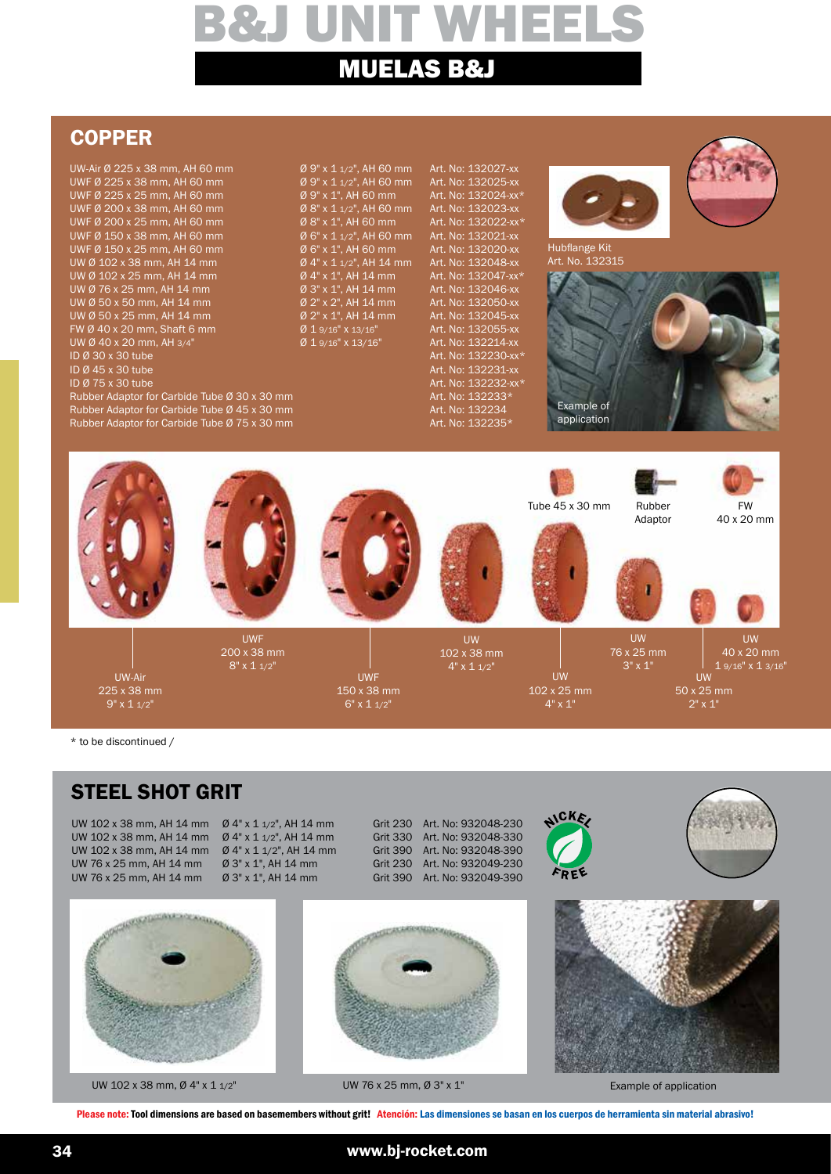## **COPPER**

UW-Air Ø 225 x 38 mm, AH 60 mm  $\sigma$  9" x 1 1/2", AH 60 mm Art. No: 132027-xx<br>
UWF Ø 225 x 38 mm, AH 60 mm  $\sigma$  9" x 1 1/2", AH 60 mm Art. No: 132025-xx UWF Ø 225 x 38 mm, AH 60 mm Ø 9" x 1 1/2", AH 60 mm Art. No: 132025-xx UWF Ø 225 x 25 mm, AH 60 mm  $\sigma$  9" x 1", AH 60 mm Art. No: 132024-xx\*<br>UWF Ø 200 x 38 mm, AH 60 mm  $\sigma$  8" x 1 1/2". AH 60 mm Art. No: 132023-xx UWF Ø 200 x 38 mm, AH 60 mm<br>
UWF Ø 200 x 25 mm, AH 60 mm  $\%$  8" x 1", AH 60 mm Art. No: 132022-xx\* UWF Ø 200 x 25 mm, AH 60 mm  $\sigma$  8" x 1", AH 60 mm Art. No: 132022-xx\*<br>UWF Ø 150 x 38 mm, AH 60 mm  $\sigma$  6" x 1 1/2", AH 60 mm Art. No: 132021-xx UWF Ø 150 x 38 mm, AH 60 mm  $\theta$  6" x 1 1/2", AH 60 mm UWF Ø 150 x 25 mm, AH 60 mm UWF Ø 150 x 25 mm, AH 60 mm  $\sigma$  6" x 1", AH 60 mm Art. No: 132020-xx<br>UW Ø 102 x 38 mm, AH 14 mm  $\sigma$  4" x 1 1/2", AH 14 mm Art. No: 132048-xx UW Ø 102 x 38 mm, AH 14 mm  $\emptyset$  4" x 1 1/2", AH 14 r<br>UW Ø 102 x 25 mm, AH 14 mm  $\emptyset$  4" x 1", AH 14 mm UW Ø 102 x 25 mm, AH 14 mm  $\emptyset$  4" x 1", AH 14 mm Art. No: 132047-xx\*<br>UW Ø 76 x 25 mm, AH 14 mm  $\emptyset$  3" x 1", AH 14 mm Art. No: 132046-xx UW Ø 76 x 25 mm, AH 14 mm  $\%$  3" x 1", AH 14 mm Art. No: 132046-xx<br>UW Ø 50 x 50 mm. AH 14 mm  $\%$  Ø 2" x 2". AH 14 mm Art. No: 132050-xx UW Ø 50 x 50 mm, AH 14 mm  $\%$  *O* 2" x 2", AH 14 mm Art. No: 132050-xx<br>UW Ø 50 x 25 mm, AH 14 mm  $\%$  Ø 2" x 1", AH 14 mm Art. No: 132045-xx UW Ø 50 x 25 mm, AH 14 mm  $\%$  *O* 2" x 1", AH 14 mm Art. No: 132045-xx<br>
FW Ø 40 x 20 mm, Shaft 6 mm  $\%$  *D* 1 9/16" x 13/16" Art. No: 132055-xx FW Ø 40 x 20 mm, Shaft 6 mm  $\alpha$   $\beta$  1 9/16" x 13/16" Art. No: 132055-xx<br>
UW Ø 40 x 20 mm, AH 3/4"  $\beta$  1 9/16" x 13/16" Art. No: 132214-xx UW Ø 40 x 20 mm, AH 3/4"<br>ID Ø 30 x 30 tube ID Ø 30 x 30 tube Art. No: 132230-xx\*<br>ID Ø 45 x 30 tube Art. No: 132231-xx ID Ø 45 x 30 tube Art. No: 132231-xx

Rubber Adaptor for Carbide Tube Ø 30 x 30 mm<br>Rubber Adaptor for Carbide Tube Ø 45 x 30 mm Art. No: 132234 Rubber Adaptor for Carbide Tube Ø 45 x 30 mm<br>Rubber Adaptor for Carbide Tube Ø 75 x 30 mm Art. No: 132235\* Rubber Adaptor for Carbide Tube Ø 75 x 30 mm

Art. No: 132232-xx\*<br>Art. No: 132233\*



Hubflange Kit Art. No. 132315





\* to be discontinued /

## STEEL SHOT GRIT

UW 102 x 38 mm, AH 14 mm

UW 102 x 38 mm, AH 14 mm Ø 4" x 1 1/2", AH 14 mm Grit 230 Art. No: 932048-230 UW 102 x 38 mm, AH 14 mm Ø 4" x 1 1/2", AH 14 mm Grit 330 Art. No: 932048-330 UW 76 x 25 mm, AH 14 mm Ø 3" x 1", AH 14 mm Grit 230 Art. No: 932049-230 UW 76 x 25 mm, AH 14 mm Ø 3" x 1", AH 14 mm Grit 390 Art. No: 932049-390





UW 102 x 38 mm, Ø 4" x 1 1/2" UW 76 x 25 mm, Ø 3" x 1"



Example of application